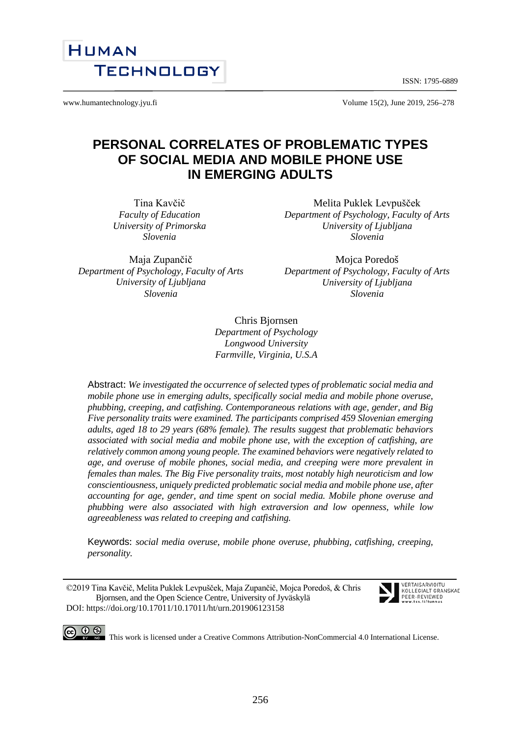ISSN: 1795-6889



www.humantechnology.jyu.fi example 15(2), June 2019, 256–278

# **PERSONAL CORRELATES OF PROBLEMATIC TYPES OF SOCIAL MEDIA AND MOBILE PHONE USE IN EMERGING ADULTS**

Tina Kavčič *Faculty of Education University of Primorska Slovenia*

Maja Zupančič *Department of Psychology, Faculty of Arts University of Ljubljana Slovenia*

Melita Puklek Levpušček *Department of Psychology, Faculty of Arts University of Ljubljana Slovenia*

Mojca Poredoš *Department of Psychology, Faculty of Arts University of Ljubljana Slovenia*

# Chris Bjornsen

*Department of Psychology Longwood University Farmville, Virginia, U.S.A*

Abstract: *We investigated the occurrence of selected types of problematic social media and mobile phone use in emerging adults, specifically social media and mobile phone overuse, phubbing, creeping, and catfishing. Contemporaneous relations with age, gender, and Big Five personality traits were examined. The participants comprised 459 Slovenian emerging adults, aged 18 to 29 years (68% female). The results suggest that problematic behaviors associated with social media and mobile phone use, with the exception of catfishing, are relatively common among young people. The examined behaviors were negatively related to age, and overuse of mobile phones, social media, and creeping were more prevalent in females than males. The Big Five personality traits, most notably high neuroticism and low conscientiousness, uniquely predicted problematic social media and mobile phone use, after accounting for age, gender, and time spent on social media. Mobile phone overuse and phubbing were also associated with high extraversion and low openness, while low agreeableness was related to creeping and catfishing.*

Keywords: *social media overuse, mobile phone overuse, phubbing, catfishing, creeping, personality.*

©2019 Tina Kavčič, Melita Puklek Levpušček, Maja Zupančič, Mojca Poredoš, & Chris Bjornsen, and the Open Science Centre, University of Jyväskylä DOI: https://doi.org/10.17011/10.17011/ht/urn.201906123158



C  $\bigodot$   $\bigodot$   $\bigodot$   $\bigodot$  This work is licensed under [a Creative Commons Attribution-NonCommercial 4.0 International License.](http://creativecommons.org/licenses/by-nc/4.0/)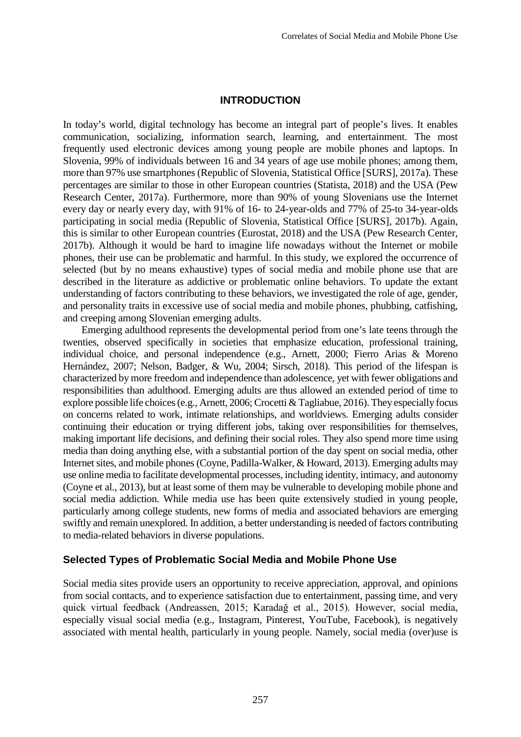#### **INTRODUCTION**

In today's world, digital technology has become an integral part of people's lives. It enables communication, socializing, information search, learning, and entertainment. The most frequently used electronic devices among young people are mobile phones and laptops. In Slovenia, 99% of individuals between 16 and 34 years of age use mobile phones; among them, more than 97% use smartphones (Republic of Slovenia, Statistical Office [SURS], 2017a). These percentages are similar to those in other European countries (Statista, 2018) and the USA (Pew Research Center, 2017a). Furthermore, more than 90% of young Slovenians use the Internet every day or nearly every day, with 91% of 16- to 24-year-olds and 77% of 25-to 34-year-olds participating in social media (Republic of Slovenia, Statistical Office [SURS], 2017b). Again, this is similar to other European countries (Eurostat, 2018) and the USA (Pew Research Center, 2017b). Although it would be hard to imagine life nowadays without the Internet or mobile phones, their use can be problematic and harmful. In this study, we explored the occurrence of selected (but by no means exhaustive) types of social media and mobile phone use that are described in the literature as addictive or problematic online behaviors. To update the extant understanding of factors contributing to these behaviors, we investigated the role of age, gender, and personality traits in excessive use of social media and mobile phones, phubbing, catfishing, and creeping among Slovenian emerging adults.

Emerging adulthood represents the developmental period from one's late teens through the twenties, observed specifically in societies that emphasize education, professional training, individual choice, and personal independence (e.g., Arnett, 2000; Fierro Arias & Moreno Hernández, 2007; Nelson, Badger, & Wu, 2004; Sirsch, 2018). This period of the lifespan is characterized by more freedom and independence than adolescence, yet with fewer obligations and responsibilities than adulthood. Emerging adults are thus allowed an extended period of time to explore possible life choices (e.g., Arnett, 2006; Crocetti & Tagliabue, 2016). They especially focus on concerns related to work, intimate relationships, and worldviews. Emerging adults consider continuing their education or trying different jobs, taking over responsibilities for themselves, making important life decisions, and defining their social roles. They also spend more time using media than doing anything else, with a substantial portion of the day spent on social media, other Internet sites, and mobile phones (Coyne, Padilla-Walker, & Howard, 2013). Emerging adults may use online media to facilitate developmental processes, including identity, intimacy, and autonomy (Coyne et al., 2013), but at least some of them may be vulnerable to developing mobile phone and social media addiction. While media use has been quite extensively studied in young people, particularly among college students, new forms of media and associated behaviors are emerging swiftly and remain unexplored. In addition, a better understanding is needed of factors contributing to media-related behaviors in diverse populations.

## **Selected Types of Problematic Social Media and Mobile Phone Use**

Social media sites provide users an opportunity to receive appreciation, approval, and opinions from social contacts, and to experience satisfaction due to entertainment, passing time, and very quick virtual feedback (Andreassen, 2015; Karadağ et al., 2015). However, social media, especially visual social media (e.g., Instagram, Pinterest, YouTube, Facebook), is negatively associated with mental health, particularly in young people. Namely, social media (over)use is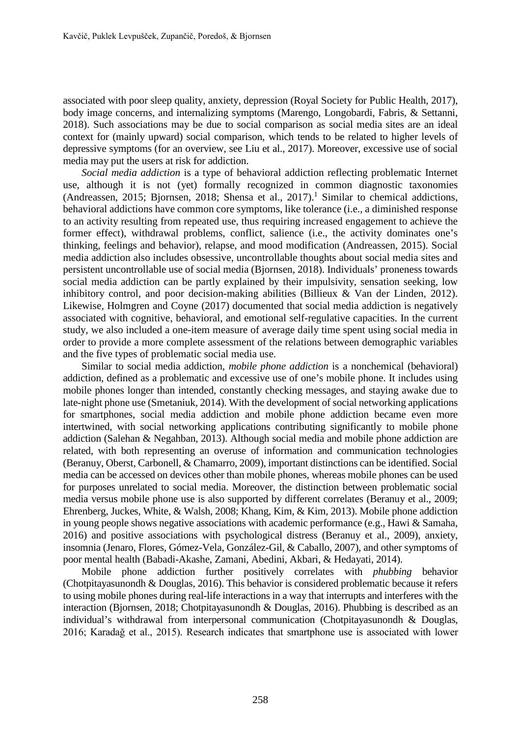associated with poor sleep quality, anxiety, depression (Royal Society for Public Health, 2017), body image concerns, and internalizing symptoms (Marengo, Longobardi, Fabris, & Settanni, 2018). Such associations may be due to social comparison as social media sites are an ideal context for (mainly upward) social comparison, which tends to be related to higher levels of depressive symptoms (for an overview, see Liu et al., 2017). Moreover, excessive use of social media may put the users at risk for addiction.

*Social media addiction* is a type of behavioral addiction reflecting problematic Internet use, although it is not (yet) formally recognized in common diagnostic taxonomies (Andreassen, 2015; Bjornsen, 2018; Shensa et al., 2017).<sup>1</sup> Similar to chemical addictions, behavioral addictions have common core symptoms, like tolerance (i.e., a diminished response to an activity resulting from repeated use, thus requiring increased engagement to achieve the former effect), withdrawal problems, conflict, salience (i.e., the activity dominates one's thinking, feelings and behavior), relapse, and mood modification (Andreassen, 2015). Social media addiction also includes obsessive, uncontrollable thoughts about social media sites and persistent uncontrollable use of social media (Bjornsen, 2018). Individuals' proneness towards social media addiction can be partly explained by their impulsivity, sensation seeking, low inhibitory control, and poor decision-making abilities (Billieux & Van der Linden, 2012). Likewise, Holmgren and Coyne (2017) documented that social media addiction is negatively associated with cognitive, behavioral, and emotional self-regulative capacities. In the current study, we also included a one-item measure of average daily time spent using social media in order to provide a more complete assessment of the relations between demographic variables and the five types of problematic social media use.

Similar to social media addiction, *mobile phone addiction* is a nonchemical (behavioral) addiction, defined as a problematic and excessive use of one's mobile phone. It includes using mobile phones longer than intended, constantly checking messages, and staying awake due to late-night phone use (Smetaniuk, 2014). With the development of social networking applications for smartphones, social media addiction and mobile phone addiction became even more intertwined, with social networking applications contributing significantly to mobile phone addiction (Salehan & Negahban, 2013). Although social media and mobile phone addiction are related, with both representing an overuse of information and communication technologies (Beranuy, Oberst, Carbonell, & Chamarro, 2009), important distinctions can be identified. Social media can be accessed on devices other than mobile phones, whereas mobile phones can be used for purposes unrelated to social media. Moreover, the distinction between problematic social media versus mobile phone use is also supported by different correlates (Beranuy et al., 2009; Ehrenberg, Juckes, White, & Walsh, 2008; Khang, Kim, & Kim, 2013). Mobile phone addiction in young people shows negative associations with academic performance (e.g., Hawi & Samaha, 2016) and positive associations with psychological distress (Beranuy et al., 2009), anxiety, insomnia (Jenaro, Flores, Gómez-Vela, González-Gil, & Caballo, 2007), and other symptoms of poor mental health (Babadi-Akashe, Zamani, Abedini, Akbari, & Hedayati, 2014).

Mobile phone addiction further positively correlates with *phubbing* behavior (Chotpitayasunondh & Douglas, 2016). This behavior is considered problematic because it refers to using mobile phones during real-life interactions in a way that interrupts and interferes with the interaction (Bjornsen, 2018; Chotpitayasunondh & Douglas, 2016). Phubbing is described as an individual's withdrawal from interpersonal communication (Chotpitayasunondh & Douglas, 2016; Karadağ et al., 2015). Research indicates that smartphone use is associated with lower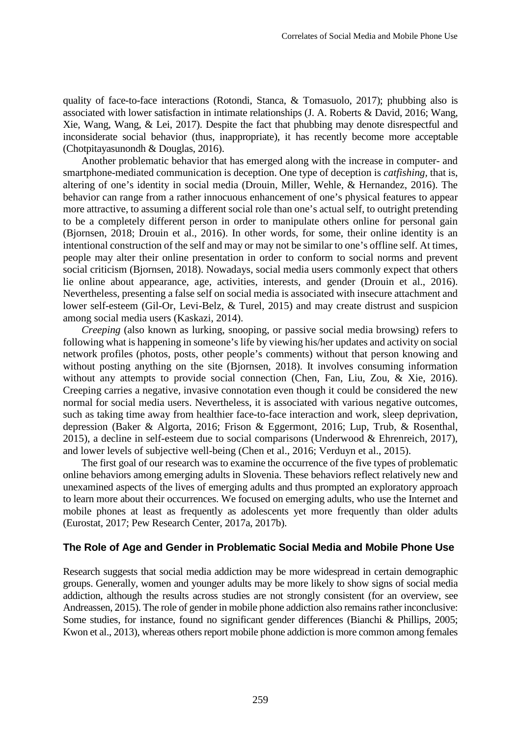quality of face-to-face interactions (Rotondi, Stanca, & Tomasuolo, 2017); phubbing also is associated with lower satisfaction in intimate relationships (J. A. Roberts & David, 2016; Wang, Xie, Wang, Wang, & Lei, 2017). Despite the fact that phubbing may denote disrespectful and inconsiderate social behavior (thus, inappropriate), it has recently become more acceptable (Chotpitayasunondh & Douglas, 2016).

Another problematic behavior that has emerged along with the increase in computer- and smartphone-mediated communication is deception. One type of deception is *catfishing,* that is, altering of one's identity in social media (Drouin, Miller, Wehle, & Hernandez, 2016). The behavior can range from a rather innocuous enhancement of one's physical features to appear more attractive, to assuming a different social role than one's actual self, to outright pretending to be a completely different person in order to manipulate others online for personal gain (Bjornsen, 2018; Drouin et al., 2016). In other words, for some, their online identity is an intentional construction of the self and may or may not be similar to one's offline self. At times, people may alter their online presentation in order to conform to social norms and prevent social criticism (Bjornsen, 2018). Nowadays, social media users commonly expect that others lie online about appearance, age, activities, interests, and gender (Drouin et al., 2016). Nevertheless, presenting a false self on social media is associated with insecure attachment and lower self-esteem (Gil-Or, Levi-Belz, & Turel, 2015) and may create distrust and suspicion among social media users (Kaskazi, 2014).

*Creeping* (also known as lurking, snooping, or passive social media browsing) refers to following what is happening in someone's life by viewing his/her updates and activity on social network profiles (photos, posts, other people's comments) without that person knowing and without posting anything on the site (Bjornsen, 2018). It involves consuming information without any attempts to provide social connection (Chen, Fan, Liu, Zou, & Xie, 2016). Creeping carries a negative, invasive connotation even though it could be considered the new normal for social media users. Nevertheless, it is associated with various negative outcomes, such as taking time away from healthier face-to-face interaction and work, sleep deprivation, depression (Baker & Algorta, 2016; Frison & Eggermont, 2016; Lup, Trub, & Rosenthal, 2015), a decline in self-esteem due to social comparisons (Underwood & Ehrenreich, 2017), and lower levels of subjective well-being (Chen et al., 2016; Verduyn et al., 2015).

The first goal of our research was to examine the occurrence of the five types of problematic online behaviors among emerging adults in Slovenia. These behaviors reflect relatively new and unexamined aspects of the lives of emerging adults and thus prompted an exploratory approach to learn more about their occurrences. We focused on emerging adults, who use the Internet and mobile phones at least as frequently as adolescents yet more frequently than older adults (Eurostat, 2017; Pew Research Center, 2017a, 2017b).

## **The Role of Age and Gender in Problematic Social Media and Mobile Phone Use**

Research suggests that social media addiction may be more widespread in certain demographic groups. Generally, women and younger adults may be more likely to show signs of social media addiction, although the results across studies are not strongly consistent (for an overview, see Andreassen, 2015). The role of gender in mobile phone addiction also remains rather inconclusive: Some studies, for instance, found no significant gender differences (Bianchi & Phillips, 2005; Kwon et al., 2013), whereas others report mobile phone addiction is more common among females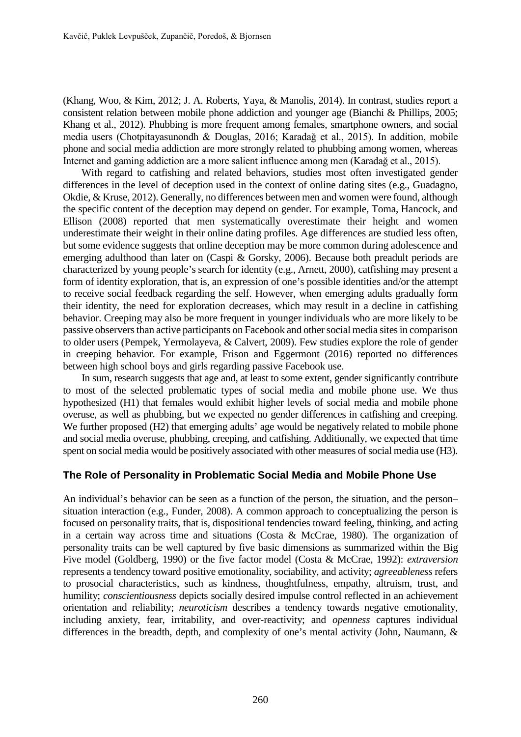(Khang, Woo, & Kim, 2012; J. A. Roberts, Yaya, & Manolis, 2014). In contrast, studies report a consistent relation between mobile phone addiction and younger age (Bianchi & Phillips, 2005; Khang et al., 2012). Phubbing is more frequent among females, smartphone owners, and social media users (Chotpitayasunondh & Douglas, 2016; Karadağ et al., 2015). In addition, mobile phone and social media addiction are more strongly related to phubbing among women, whereas Internet and gaming addiction are a more salient influence among men (Karadağ et al., 2015).

With regard to catfishing and related behaviors, studies most often investigated gender differences in the level of deception used in the context of online dating sites (e.g., Guadagno, Okdie, & Kruse, 2012). Generally, no differences between men and women were found, although the specific content of the deception may depend on gender. For example, Toma, Hancock, and Ellison (2008) reported that men systematically overestimate their height and women underestimate their weight in their online dating profiles. Age differences are studied less often, but some evidence suggests that online deception may be more common during adolescence and emerging adulthood than later on (Caspi & Gorsky, 2006). Because both preadult periods are characterized by young people's search for identity (e.g., Arnett, 2000), catfishing may present a form of identity exploration, that is, an expression of one's possible identities and/or the attempt to receive social feedback regarding the self. However, when emerging adults gradually form their identity, the need for exploration decreases, which may result in a decline in catfishing behavior. Creeping may also be more frequent in younger individuals who are more likely to be passive observers than active participants on Facebook and other social media sites in comparison to older users (Pempek, Yermolayeva, & Calvert, 2009). Few studies explore the role of gender in creeping behavior. For example, Frison and Eggermont (2016) reported no differences between high school boys and girls regarding passive Facebook use.

In sum, research suggests that age and, at least to some extent, gender significantly contribute to most of the selected problematic types of social media and mobile phone use. We thus hypothesized (H1) that females would exhibit higher levels of social media and mobile phone overuse, as well as phubbing, but we expected no gender differences in catfishing and creeping. We further proposed (H2) that emerging adults' age would be negatively related to mobile phone and social media overuse, phubbing, creeping, and catfishing. Additionally, we expected that time spent on social media would be positively associated with other measures of social media use (H3).

## **The Role of Personality in Problematic Social Media and Mobile Phone Use**

An individual's behavior can be seen as a function of the person, the situation, and the person– situation interaction (e.g., Funder, 2008). A common approach to conceptualizing the person is focused on personality traits, that is, dispositional tendencies toward feeling, thinking, and acting in a certain way across time and situations (Costa & McCrae, 1980). The organization of personality traits can be well captured by five basic dimensions as summarized within the Big Five model (Goldberg, 1990) or the five factor model (Costa & McCrae, 1992): *extraversion*  represents a tendency toward positive emotionality, sociability, and activity; *agreeableness* refers to prosocial characteristics, such as kindness, thoughtfulness, empathy, altruism, trust, and humility; *conscientiousness* depicts socially desired impulse control reflected in an achievement orientation and reliability; *neuroticism* describes a tendency towards negative emotionality, including anxiety, fear, irritability, and over-reactivity; and *openness* captures individual differences in the breadth, depth, and complexity of one's mental activity (John, Naumann, &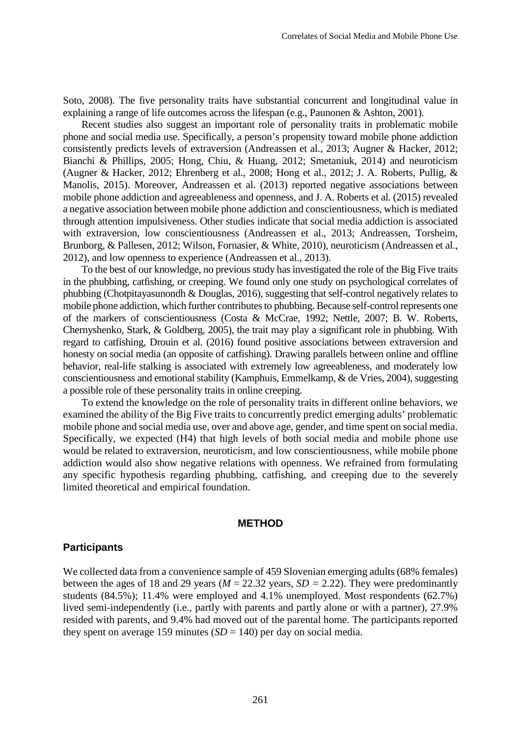Soto, 2008). The five personality traits have substantial concurrent and longitudinal value in explaining a range of life outcomes across the lifespan (e.g., Paunonen & Ashton, 2001).

Recent studies also suggest an important role of personality traits in problematic mobile phone and social media use. Specifically, a person's propensity toward mobile phone addiction consistently predicts levels of extraversion (Andreassen et al., 2013; Augner & Hacker, 2012; Bianchi & Phillips, 2005; Hong, Chiu, & Huang, 2012; Smetaniuk, 2014) and neuroticism (Augner & Hacker, 2012; Ehrenberg et al., 2008; Hong et al., 2012; J. A. Roberts, Pullig, & Manolis, 2015). Moreover, Andreassen et al. (2013) reported negative associations between mobile phone addiction and agreeableness and openness, and J. A. Roberts et al. (2015) revealed a negative association between mobile phone addiction and conscientiousness, which is mediated through attention impulsiveness. Other studies indicate that social media addiction is associated with extraversion, low conscientiousness (Andreassen et al., 2013; Andreassen, Torsheim, Brunborg, & Pallesen, 2012; Wilson, Fornasier, & White, 2010), neuroticism (Andreassen et al., 2012), and low openness to experience (Andreassen et al., 2013).

To the best of our knowledge, no previous study has investigated the role of the Big Five traits in the phubbing, catfishing, or creeping. We found only one study on psychological correlates of phubbing (Chotpitayasunondh & Douglas, 2016), suggesting that self-control negatively relates to mobile phone addiction, which further contributes to phubbing. Because self-control represents one of the markers of conscientiousness (Costa & McCrae, 1992; Nettle, 2007; B. W. Roberts, Chernyshenko, Stark, & Goldberg, 2005), the trait may play a significant role in phubbing. With regard to catfishing, Drouin et al. (2016) found positive associations between extraversion and honesty on social media (an opposite of catfishing). Drawing parallels between online and offline behavior, real-life stalking is associated with extremely low agreeableness, and moderately low conscientiousness and emotional stability (Kamphuis, Emmelkamp, & de Vries, 2004), suggesting a possible role of these personality traits in online creeping.

To extend the knowledge on the role of personality traits in different online behaviors, we examined the ability of the Big Five traits to concurrently predict emerging adults' problematic mobile phone and social media use, over and above age, gender, and time spent on social media. Specifically, we expected (H4) that high levels of both social media and mobile phone use would be related to extraversion, neuroticism, and low conscientiousness, while mobile phone addiction would also show negative relations with openness. We refrained from formulating any specific hypothesis regarding phubbing, catfishing, and creeping due to the severely limited theoretical and empirical foundation.

#### **METHOD**

#### **Participants**

We collected data from a convenience sample of 459 Slovenian emerging adults (68% females) between the ages of 18 and 29 years (*M* = 22.32 years, *SD =* 2.22). They were predominantly students (84.5%); 11.4% were employed and 4.1% unemployed. Most respondents (62.7%) lived semi-independently (i.e., partly with parents and partly alone or with a partner), 27.9% resided with parents, and 9.4% had moved out of the parental home. The participants reported they spent on average 159 minutes  $(SD = 140)$  per day on social media.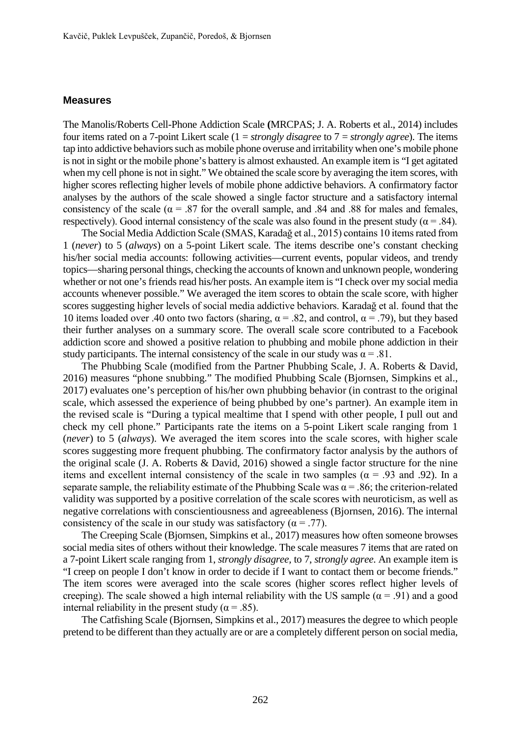#### **Measures**

The Manolis/Roberts Cell-Phone Addiction Scale **(**MRCPAS; J. A. Roberts et al., 2014) includes four items rated on a 7-point Likert scale (1 = *strongly disagree* to 7 = *strongly agree*). The items tap into addictive behaviors such as mobile phone overuse and irritability when one's mobile phone is not in sight or the mobile phone's battery is almost exhausted. An example item is "I get agitated when my cell phone is not in sight." We obtained the scale score by averaging the item scores, with higher scores reflecting higher levels of mobile phone addictive behaviors. A confirmatory factor analyses by the authors of the scale showed a single factor structure and a satisfactory internal consistency of the scale ( $\alpha$  = .87 for the overall sample, and .84 and .88 for males and females, respectively). Good internal consistency of the scale was also found in the present study ( $\alpha$  = .84).

The Social Media Addiction Scale (SMAS, Karadağ et al., 2015) contains 10 items rated from 1 (*never*) to 5 (*always*) on a 5-point Likert scale. The items describe one's constant checking his/her social media accounts: following activities—current events, popular videos, and trendy topics—sharing personal things, checking the accounts of known and unknown people, wondering whether or not one's friends read his/her posts. An example item is "I check over my social media accounts whenever possible." We averaged the item scores to obtain the scale score, with higher scores suggesting higher levels of social media addictive behaviors. Karadağ et al. found that the 10 items loaded over .40 onto two factors (sharing,  $\alpha$  = .82, and control,  $\alpha$  = .79), but they based their further analyses on a summary score. The overall scale score contributed to a Facebook addiction score and showed a positive relation to phubbing and mobile phone addiction in their study participants. The internal consistency of the scale in our study was  $\alpha = .81$ .

The Phubbing Scale (modified from the Partner Phubbing Scale, J. A. Roberts & David, 2016) measures "phone snubbing." The modified Phubbing Scale (Bjornsen, Simpkins et al., 2017) evaluates one's perception of his/her own phubbing behavior (in contrast to the original scale, which assessed the experience of being phubbed by one's partner). An example item in the revised scale is "During a typical mealtime that I spend with other people, I pull out and check my cell phone." Participants rate the items on a 5-point Likert scale ranging from 1 (*never*) to 5 (*always*). We averaged the item scores into the scale scores, with higher scale scores suggesting more frequent phubbing. The confirmatory factor analysis by the authors of the original scale (J. A. Roberts & David, 2016) showed a single factor structure for the nine items and excellent internal consistency of the scale in two samples ( $\alpha$  = .93 and .92). In a separate sample, the reliability estimate of the Phubbing Scale was  $\alpha = .86$ ; the criterion-related validity was supported by a positive correlation of the scale scores with neuroticism, as well as negative correlations with conscientiousness and agreeableness (Bjornsen, 2016). The internal consistency of the scale in our study was satisfactory ( $\alpha = .77$ ).

The Creeping Scale (Bjornsen, Simpkins et al., 2017) measures how often someone browses social media sites of others without their knowledge. The scale measures 7 items that are rated on a 7-point Likert scale ranging from 1, *strongly disagree,* to 7, *strongly agree*. An example item is "I creep on people I don't know in order to decide if I want to contact them or become friends." The item scores were averaged into the scale scores (higher scores reflect higher levels of creeping). The scale showed a high internal reliability with the US sample ( $\alpha$  = .91) and a good internal reliability in the present study ( $\alpha$  = .85).

The Catfishing Scale (Bjornsen, Simpkins et al., 2017) measures the degree to which people pretend to be different than they actually are or are a completely different person on social media,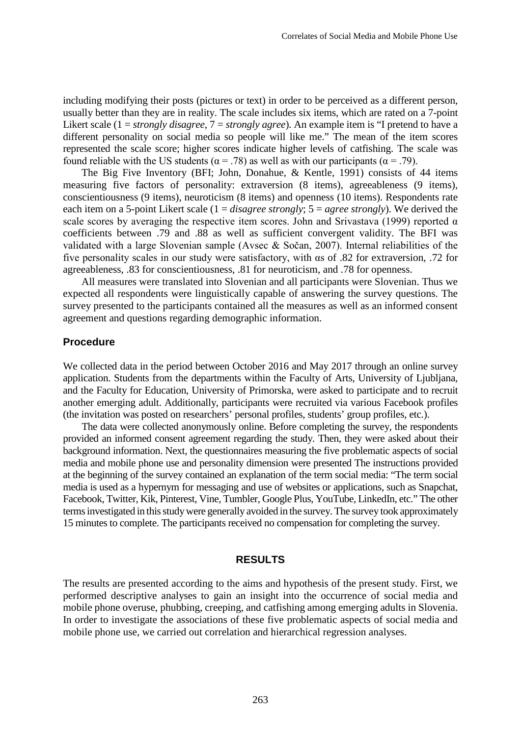including modifying their posts (pictures or text) in order to be perceived as a different person, usually better than they are in reality. The scale includes six items, which are rated on a 7-point Likert scale (1 = *strongly disagree*, 7 = *strongly agree*). An example item is "I pretend to have a different personality on social media so people will like me." The mean of the item scores represented the scale score; higher scores indicate higher levels of catfishing. The scale was found reliable with the US students ( $\alpha = .78$ ) as well as with our participants ( $\alpha = .79$ ).

The Big Five Inventory (BFI; John, Donahue, & Kentle, 1991) consists of 44 items measuring five factors of personality: extraversion (8 items), agreeableness (9 items), conscientiousness (9 items), neuroticism (8 items) and openness (10 items). Respondents rate each item on a 5-point Likert scale (1 = *disagree strongly*; 5 = *agree strongly*). We derived the scale scores by averaging the respective item scores. John and Srivastava (1999) reported  $\alpha$ coefficients between .79 and .88 as well as sufficient convergent validity. The BFI was validated with a large Slovenian sample (Avsec & Sočan, 2007). Internal reliabilities of the five personality scales in our study were satisfactory, with αs of .82 for extraversion, .72 for agreeableness, .83 for conscientiousness, .81 for neuroticism, and .78 for openness.

All measures were translated into Slovenian and all participants were Slovenian. Thus we expected all respondents were linguistically capable of answering the survey questions. The survey presented to the participants contained all the measures as well as an informed consent agreement and questions regarding demographic information.

#### **Procedure**

We collected data in the period between October 2016 and May 2017 through an online survey application. Students from the departments within the Faculty of Arts, University of Ljubljana, and the Faculty for Education, University of Primorska, were asked to participate and to recruit another emerging adult. Additionally, participants were recruited via various Facebook profiles (the invitation was posted on researchers' personal profiles, students' group profiles, etc.).

The data were collected anonymously online. Before completing the survey, the respondents provided an informed consent agreement regarding the study. Then, they were asked about their background information. Next, the questionnaires measuring the five problematic aspects of social media and mobile phone use and personality dimension were presented The instructions provided at the beginning of the survey contained an explanation of the term social media: "The term social media is used as a hypernym for messaging and use of websites or applications, such as Snapchat, Facebook, Twitter, Kik, Pinterest, Vine, Tumbler, Google Plus, YouTube, LinkedIn, etc." The other terms investigated in this study were generally avoided in the survey. The survey took approximately 15 minutes to complete. The participants received no compensation for completing the survey.

#### **RESULTS**

The results are presented according to the aims and hypothesis of the present study. First, we performed descriptive analyses to gain an insight into the occurrence of social media and mobile phone overuse, phubbing, creeping, and catfishing among emerging adults in Slovenia. In order to investigate the associations of these five problematic aspects of social media and mobile phone use, we carried out correlation and hierarchical regression analyses.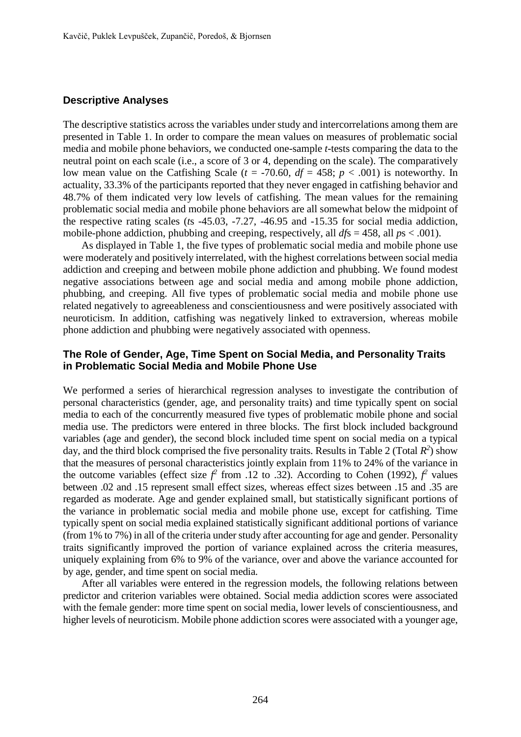#### **Descriptive Analyses**

The descriptive statistics across the variables under study and intercorrelations among them are presented in Table 1. In order to compare the mean values on measures of problematic social media and mobile phone behaviors, we conducted one-sample *t*-tests comparing the data to the neutral point on each scale (i.e., a score of 3 or 4, depending on the scale). The comparatively low mean value on the Catfishing Scale ( $t = -70.60$ ,  $df = 458$ ;  $p < .001$ ) is noteworthy. In actuality, 33.3% of the participants reported that they never engaged in catfishing behavior and 48.7% of them indicated very low levels of catfishing. The mean values for the remaining problematic social media and mobile phone behaviors are all somewhat below the midpoint of the respective rating scales (*t*s -45.03, -7.27, -46.95 and -15.35 for social media addiction, mobile-phone addiction, phubbing and creeping, respectively, all *df*s = 458, all *p*s < .001).

As displayed in Table 1, the five types of problematic social media and mobile phone use were moderately and positively interrelated, with the highest correlations between social media addiction and creeping and between mobile phone addiction and phubbing. We found modest negative associations between age and social media and among mobile phone addiction, phubbing, and creeping. All five types of problematic social media and mobile phone use related negatively to agreeableness and conscientiousness and were positively associated with neuroticism. In addition, catfishing was negatively linked to extraversion, whereas mobile phone addiction and phubbing were negatively associated with openness.

## **The Role of Gender, Age, Time Spent on Social Media, and Personality Traits in Problematic Social Media and Mobile Phone Use**

We performed a series of hierarchical regression analyses to investigate the contribution of personal characteristics (gender, age, and personality traits) and time typically spent on social media to each of the concurrently measured five types of problematic mobile phone and social media use. The predictors were entered in three blocks. The first block included background variables (age and gender), the second block included time spent on social media on a typical day, and the third block comprised the five personality traits. Results in Table 2 (Total  $R^2$ ) show that the measures of personal characteristics jointly explain from 11% to 24% of the variance in the outcome variables (effect size  $f^2$  from .12 to .32). According to Cohen (1992),  $f^2$  values between .02 and .15 represent small effect sizes, whereas effect sizes between .15 and .35 are regarded as moderate. Age and gender explained small, but statistically significant portions of the variance in problematic social media and mobile phone use, except for catfishing. Time typically spent on social media explained statistically significant additional portions of variance (from 1% to 7%) in all of the criteria under study after accounting for age and gender. Personality traits significantly improved the portion of variance explained across the criteria measures, uniquely explaining from 6% to 9% of the variance, over and above the variance accounted for by age, gender, and time spent on social media.

After all variables were entered in the regression models, the following relations between predictor and criterion variables were obtained. Social media addiction scores were associated with the female gender: more time spent on social media, lower levels of conscientiousness, and higher levels of neuroticism. Mobile phone addiction scores were associated with a younger age,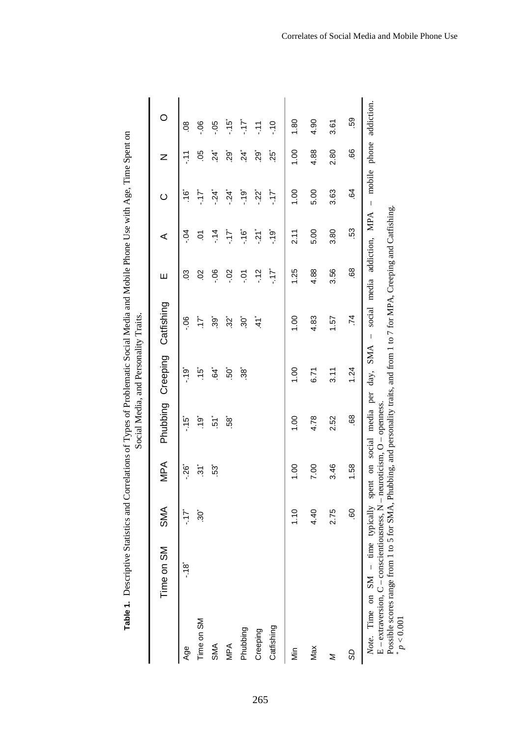|            | Table 1. Descriptive Statistics and Correlations of Types of Problematic Social Media and Mobile Phone Use with Age, Time Spent on                                                                                                                              |               |         |           | Social Media, and Personality Traits. |                                |                |                          |                   |         |               |
|------------|-----------------------------------------------------------------------------------------------------------------------------------------------------------------------------------------------------------------------------------------------------------------|---------------|---------|-----------|---------------------------------------|--------------------------------|----------------|--------------------------|-------------------|---------|---------------|
|            | Time on SM                                                                                                                                                                                                                                                      | SMA           | MPA     | Phubbing  | Creeping                              | Catfishing                     | Ш              | ⋖                        | ပ                 | z       | O             |
| Age        | $-18^*$                                                                                                                                                                                                                                                         | $\frac{1}{2}$ | ى<br>?- | -15*      | -19*                                  | 90.-                           | $\overline{c}$ | $-0.5$                   | غ*<br>-           | ے۔<br>ت | $\frac{8}{2}$ |
| Time on SM |                                                                                                                                                                                                                                                                 | $30^*$        | ند      | *ق.       | `ק<br>ר                               | $\dot{z}$                      | $\overline{0}$ | ć                        | -17*              | 0.5     | -.06          |
| SMA        |                                                                                                                                                                                                                                                                 |               | ξ3.     | 57.       | .<br>4                                | ွံတဲ့                          | $-0.5$         | $-14$                    | .ี่4ุ             | ή,      | $-0.5$        |
| MPA        |                                                                                                                                                                                                                                                                 |               |         | 68,       | 50                                    | $32^*$                         | $-0.2$         | ŻĻ.                      | .ี่4ุ             | -29     | `ק<br>`.      |
| Phubbing   |                                                                                                                                                                                                                                                                 |               |         |           | 38.                                   | $30^{\circ}$                   | ΓÓ.            | غ*.<br>-.                | -19*              | .<br>24 | -17-          |
| Creeping   |                                                                                                                                                                                                                                                                 |               |         |           |                                       | .<br>स                         | $-12$          | .<br>אֲ                  | $-22^*$           | -29     | ۲.            |
| Cattishing |                                                                                                                                                                                                                                                                 |               |         |           |                                       |                                | $-17$          | $-19^*$                  | -17*              | ה,<br>ק | ٥ŗ.           |
| İin        |                                                                                                                                                                                                                                                                 | 1.10          | 1.00    | 1.00      | 1.00                                  | 1.00                           | 1.25           | 2.11                     | 0.00              | 0.00    | 1.80          |
| Max        |                                                                                                                                                                                                                                                                 | 4.40          | 7.00    | 4.78      | 6.71                                  | 4.83                           | 4.88           | 5.00                     | 5.00              | 4.88    | 4.90          |
| z          |                                                                                                                                                                                                                                                                 | 2.75          | 3.46    | 2.52      | 3.11                                  | 1.57                           | 3.56           | 3.80                     | 3.63              | 2.80    | 3.61          |
| SS         |                                                                                                                                                                                                                                                                 | 6Ō            | 1.58    | 89.       | 1.24                                  | $\dot{z}$                      | 89             | 53                       | 84                | 89.     | 59            |
|            | Possible scores range from 1 to 5 for SMA, Phubbing, and personality traits, and from 1 to 7 for MPA, Creeping and Catfishing.<br>$E$ – extraversion, $C$ – conscientiousness, $N$ – neuroticism, $O$ – openness.<br>Note. Time on SM - time typically spent on |               | social  | media per | SMA<br>day,                           | $\begin{array}{c} \end{array}$ | social media   | <b>MPA</b><br>addiction, | mobile<br>$\vert$ | phone   | addiction.    |

Correlates of Social Media and Mobile Phone Use

 $p < 0.001$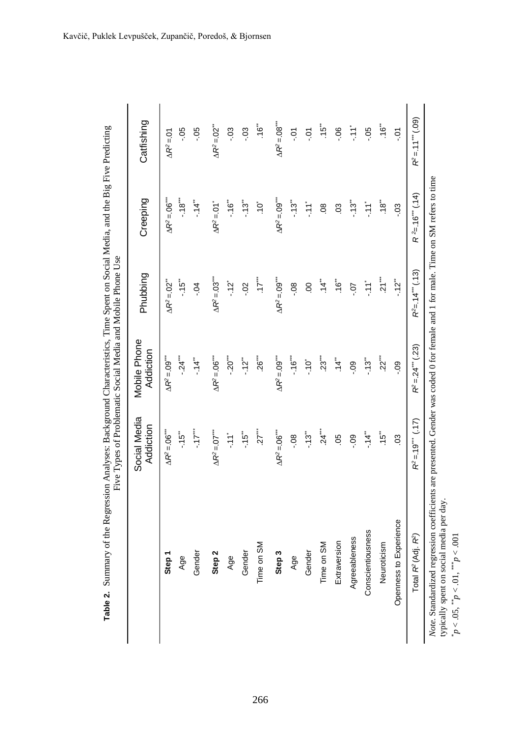Table 2. Summary of the Regression Analyses: Background Characteristics, Time Spent on Social Media, and the Big Five Predicting **Table 2.** Summary of the Regression Analyses: Background Characteristics, Time Spent on Social Media, and the Big Five Predicting Five Types of Problematic Social Media and Mobile Phone Use Five Types of Problematic Social Media and Mobile Phone Use

|                                             | Social Media<br><b>Addiction</b>   | Mobile Phone<br><b>Addiction</b>  | Phubbing                         | Creeping                           | Catfishing                |
|---------------------------------------------|------------------------------------|-----------------------------------|----------------------------------|------------------------------------|---------------------------|
| Step <sub>1</sub>                           | $\Delta R^2 = 0.06$ <sup>***</sup> | $\Delta R^2 = 0.09$               | $\Delta R^2 = .02$ <sup>**</sup> | $\Delta R^2 = 0.06$ <sup>***</sup> | $\Delta R^2 = 01$         |
| Age                                         | $-15"$                             | $-24$                             | "15"                             | $-18$                              | $-0.5$                    |
| Gender                                      | 17                                 | $-14"$                            | ż.                               | $-14"$                             | $-0.5$                    |
| Step <sub>2</sub>                           | $\Delta R^2 = 07^{***}$            | $\Delta R^2 = .06$ <sup>***</sup> | $\Delta R^2 = 03$ <sup>***</sup> | $\Delta R^2 = 01$                  | $\Delta R^2 = 0.02$       |
| Age                                         | -*<br>זר:                          | $-20$ <sup>***</sup>              | $-12^{*}$                        | $-16"$                             | $-0.3$                    |
| Gender                                      | "15"                               | $-12$ <sup>**</sup>               | -.02                             | $-13"$                             | $-0.3$                    |
| Time on SM                                  | $27$ <sup>***</sup>                | $.26$ <sup>***</sup>              | 17                               | $\ddot{0}$ .                       | $-91$ .                   |
| Step 3                                      | $\Delta R^2 = 0.06$ <sup>***</sup> | $\Delta R^2 = 0.09$               | $\Delta R^2 = 0.09$              | $\Delta R^2 = 0.09$                | $\Delta R^2 = 08^{***}$   |
| Age                                         | $-0.8$                             | $-16$ $\cdot\cdot\cdot$           | $-0.8$                           | $-13"$                             | <u>ن</u> ۔                |
| Gender                                      | $-13"$                             | $0.7 -$                           | OO.                              |                                    | Ξ.                        |
| Time on SM                                  | 24                                 | 23                                | 14                               | $\overline{0}$                     | $\ddot{5}$                |
| Extraversion                                | 05                                 | 14                                | <sup>*</sup> 16                  | 3                                  | $-0.5$                    |
| Agreeableness                               | $-0.9$                             | .09                               | $-0.7$                           | $-13"$                             | $\overline{\overline{U}}$ |
| Conscientiousness                           | $-14"$                             | $-13"$                            | $\frac{1}{\sqrt{2}}$             | $\sum_{i=1}^{n}$                   | $-0.5$                    |
| Neuroticism                                 | .15"                               | 22                                | $21$ <sup>**</sup>               | $.18$ <sup>**</sup>                | $\ddot{\theta}$           |
| Openness to Experience                      | 03                                 | .09                               | $-12"$                           | $-0.3$                             | Š.                        |
| Total R <sup>2</sup> (Adj. R <sup>2</sup> ) | $R^2 = 19^{***}$ (.17)             | $R^2 = 24$ <sup>***</sup> (.23)   | $R^2 = 14^{***}$ (.13)           | $R^2 = 16^{***}$ (.14)             | $R^2 = 11^{111}$ (.09)    |

\*

 $p < .05$ ,  ${}^{**}p < .01$ ,  ${}^{***}p < .001$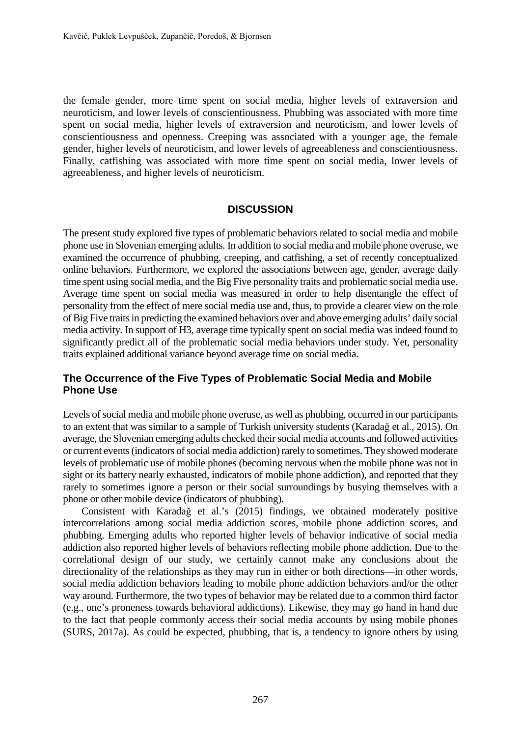the female gender, more time spent on social media, higher levels of extraversion and neuroticism, and lower levels of conscientiousness. Phubbing was associated with more time spent on social media, higher levels of extraversion and neuroticism, and lower levels of conscientiousness and openness. Creeping was associated with a younger age, the female gender, higher levels of neuroticism, and lower levels of agreeableness and conscientiousness. Finally, catfishing was associated with more time spent on social media, lower levels of agreeableness, and higher levels of neuroticism.

## **DISCUSSION**

The present study explored five types of problematic behaviors related to social media and mobile phone use in Slovenian emerging adults. In addition to social media and mobile phone overuse, we examined the occurrence of phubbing, creeping, and catfishing, a set of recently conceptualized online behaviors. Furthermore, we explored the associations between age, gender, average daily time spent using social media, and the Big Five personality traits and problematic social media use. Average time spent on social media was measured in order to help disentangle the effect of personality from the effect of mere social media use and, thus, to provide a clearer view on the role of Big Five traits in predicting the examined behaviors over and above emerging adults' daily social media activity. In support of H3, average time typically spent on social media was indeed found to significantly predict all of the problematic social media behaviors under study. Yet, personality traits explained additional variance beyond average time on social media.

# **The Occurrence of the Five Types of Problematic Social Media and Mobile Phone Use**

Levels of social media and mobile phone overuse, as well as phubbing, occurred in our participants to an extent that was similar to a sample of Turkish university students (Karadağ et al., 2015). On average, the Slovenian emerging adults checked their social media accounts and followed activities or current events (indicators of social media addiction) rarely to sometimes. They showed moderate levels of problematic use of mobile phones (becoming nervous when the mobile phone was not in sight or its battery nearly exhausted, indicators of mobile phone addiction), and reported that they rarely to sometimes ignore a person or their social surroundings by busying themselves with a phone or other mobile device (indicators of phubbing).

Consistent with Karadağ et al.'s (2015) findings, we obtained moderately positive intercorrelations among social media addiction scores, mobile phone addiction scores, and phubbing. Emerging adults who reported higher levels of behavior indicative of social media addiction also reported higher levels of behaviors reflecting mobile phone addiction. Due to the correlational design of our study, we certainly cannot make any conclusions about the directionality of the relationships as they may run in either or both directions—in other words, social media addiction behaviors leading to mobile phone addiction behaviors and/or the other way around. Furthermore, the two types of behavior may be related due to a common third factor (e.g., one's proneness towards behavioral addictions). Likewise, they may go hand in hand due to the fact that people commonly access their social media accounts by using mobile phones (SURS, 2017a). As could be expected, phubbing, that is, a tendency to ignore others by using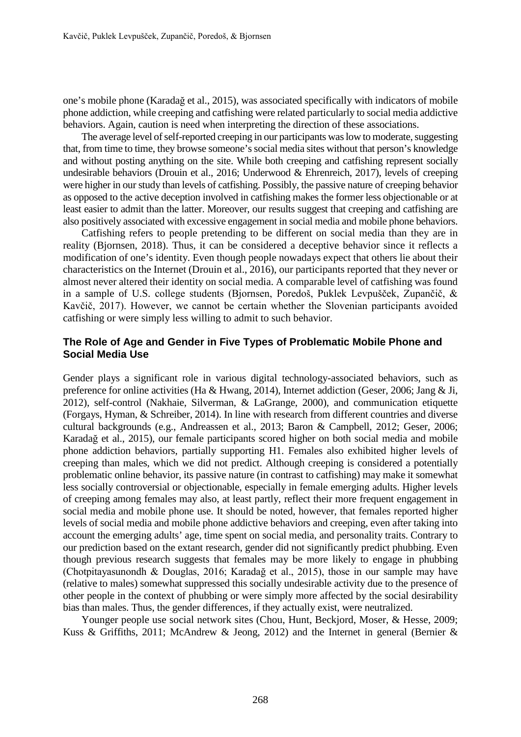one's mobile phone (Karadağ et al., 2015), was associated specifically with indicators of mobile phone addiction, while creeping and catfishing were related particularly to social media addictive behaviors. Again, caution is need when interpreting the direction of these associations.

The average level of self-reported creeping in our participants was low to moderate, suggesting that, from time to time, they browse someone's social media sites without that person's knowledge and without posting anything on the site. While both creeping and catfishing represent socially undesirable behaviors (Drouin et al., 2016; Underwood & Ehrenreich, 2017), levels of creeping were higher in our study than levels of catfishing. Possibly, the passive nature of creeping behavior as opposed to the active deception involved in catfishing makes the former less objectionable or at least easier to admit than the latter. Moreover, our results suggest that creeping and catfishing are also positively associated with excessive engagement in social media and mobile phone behaviors.

Catfishing refers to people pretending to be different on social media than they are in reality (Bjornsen, 2018). Thus, it can be considered a deceptive behavior since it reflects a modification of one's identity. Even though people nowadays expect that others lie about their characteristics on the Internet (Drouin et al., 2016), our participants reported that they never or almost never altered their identity on social media. A comparable level of catfishing was found in a sample of U.S. college students (Bjornsen, Poredoš, Puklek Levpušček, Zupančič, & Kavčič, 2017). However, we cannot be certain whether the Slovenian participants avoided catfishing or were simply less willing to admit to such behavior.

## **The Role of Age and Gender in Five Types of Problematic Mobile Phone and Social Media Use**

Gender plays a significant role in various digital technology-associated behaviors, such as preference for online activities (Ha & Hwang, 2014), Internet addiction (Geser, 2006; Jang & Ji, 2012), self-control (Nakhaie, Silverman, & LaGrange, 2000), and communication etiquette (Forgays, Hyman, & Schreiber, 2014). In line with research from different countries and diverse cultural backgrounds (e.g., Andreassen et al., 2013; Baron & Campbell, 2012; Geser, 2006; Karadağ et al., 2015), our female participants scored higher on both social media and mobile phone addiction behaviors, partially supporting H1. Females also exhibited higher levels of creeping than males, which we did not predict. Although creeping is considered a potentially problematic online behavior, its passive nature (in contrast to catfishing) may make it somewhat less socially controversial or objectionable, especially in female emerging adults. Higher levels of creeping among females may also, at least partly, reflect their more frequent engagement in social media and mobile phone use. It should be noted, however, that females reported higher levels of social media and mobile phone addictive behaviors and creeping, even after taking into account the emerging adults' age, time spent on social media, and personality traits. Contrary to our prediction based on the extant research, gender did not significantly predict phubbing. Even though previous research suggests that females may be more likely to engage in phubbing (Chotpitayasunondh & Douglas, 2016; Karadağ et al., 2015), those in our sample may have (relative to males) somewhat suppressed this socially undesirable activity due to the presence of other people in the context of phubbing or were simply more affected by the social desirability bias than males. Thus, the gender differences, if they actually exist, were neutralized.

Younger people use social network sites (Chou, Hunt, Beckjord, Moser, & Hesse, 2009; Kuss & Griffiths, 2011; McAndrew & Jeong, 2012) and the Internet in general (Bernier &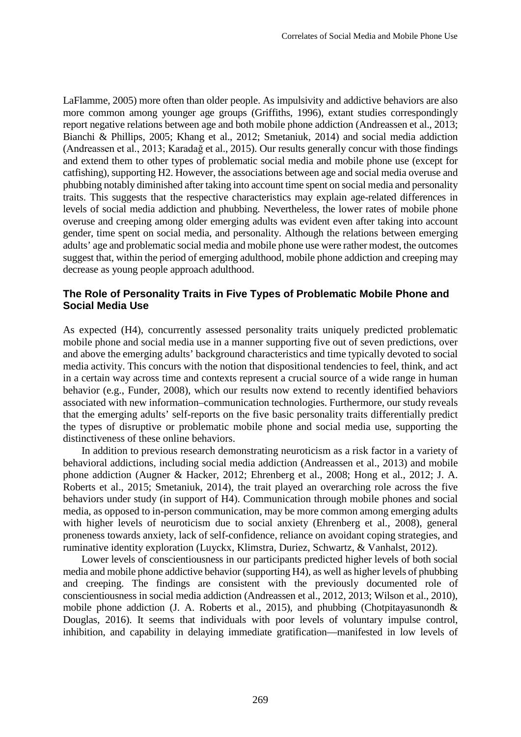LaFlamme, 2005) more often than older people. As impulsivity and addictive behaviors are also more common among younger age groups (Griffiths, 1996), extant studies correspondingly report negative relations between age and both mobile phone addiction (Andreassen et al., 2013; Bianchi & Phillips, 2005; Khang et al., 2012; Smetaniuk, 2014) and social media addiction (Andreassen et al., 2013; Karadağ et al., 2015). Our results generally concur with those findings and extend them to other types of problematic social media and mobile phone use (except for catfishing), supporting H2. However, the associations between age and social media overuse and phubbing notably diminished after taking into account time spent on social media and personality traits. This suggests that the respective characteristics may explain age-related differences in levels of social media addiction and phubbing. Nevertheless, the lower rates of mobile phone overuse and creeping among older emerging adults was evident even after taking into account gender, time spent on social media, and personality. Although the relations between emerging adults' age and problematic social media and mobile phone use were rather modest, the outcomes suggest that, within the period of emerging adulthood, mobile phone addiction and creeping may decrease as young people approach adulthood.

# **The Role of Personality Traits in Five Types of Problematic Mobile Phone and Social Media Use**

As expected (H4), concurrently assessed personality traits uniquely predicted problematic mobile phone and social media use in a manner supporting five out of seven predictions, over and above the emerging adults' background characteristics and time typically devoted to social media activity. This concurs with the notion that dispositional tendencies to feel, think, and act in a certain way across time and contexts represent a crucial source of a wide range in human behavior (e.g., Funder, 2008), which our results now extend to recently identified behaviors associated with new information–communication technologies. Furthermore, our study reveals that the emerging adults' self-reports on the five basic personality traits differentially predict the types of disruptive or problematic mobile phone and social media use, supporting the distinctiveness of these online behaviors.

In addition to previous research demonstrating neuroticism as a risk factor in a variety of behavioral addictions, including social media addiction (Andreassen et al., 2013) and mobile phone addiction (Augner & Hacker, 2012; Ehrenberg et al., 2008; Hong et al., 2012; J. A. Roberts et al., 2015; Smetaniuk, 2014), the trait played an overarching role across the five behaviors under study (in support of H4). Communication through mobile phones and social media, as opposed to in-person communication, may be more common among emerging adults with higher levels of neuroticism due to social anxiety (Ehrenberg et al., 2008), general proneness towards anxiety, lack of self-confidence, reliance on avoidant coping strategies, and ruminative identity exploration (Luyckx, Klimstra, Duriez, Schwartz, & Vanhalst, 2012).

Lower levels of conscientiousness in our participants predicted higher levels of both social media and mobile phone addictive behavior (supporting H4), as well as higher levels of phubbing and creeping. The findings are consistent with the previously documented role of conscientiousness in social media addiction (Andreassen et al., 2012, 2013; Wilson et al., 2010), mobile phone addiction (J. A. Roberts et al., 2015), and phubbing (Chotpitayasunondh  $\&$ Douglas, 2016). It seems that individuals with poor levels of voluntary impulse control, inhibition, and capability in delaying immediate gratification—manifested in low levels of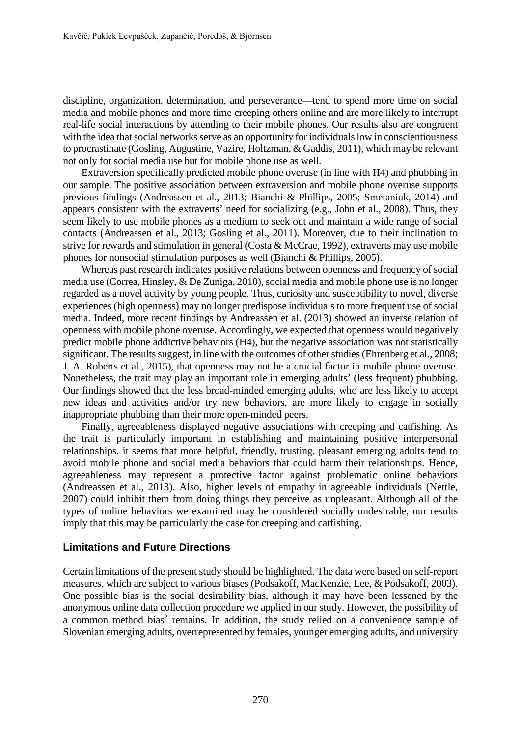discipline, organization, determination, and perseverance—tend to spend more time on social media and mobile phones and more time creeping others online and are more likely to interrupt real-life social interactions by attending to their mobile phones. Our results also are congruent with the idea that social networks serve as an opportunity for individuals low in conscientiousness to procrastinate (Gosling, Augustine, Vazire, Holtzman, & Gaddis, 2011), which may be relevant not only for social media use but for mobile phone use as well.

Extraversion specifically predicted mobile phone overuse (in line with H4) and phubbing in our sample. The positive association between extraversion and mobile phone overuse supports previous findings (Andreassen et al., 2013; Bianchi & Phillips, 2005; Smetaniuk, 2014) and appears consistent with the extraverts' need for socializing (e.g., John et al., 2008). Thus, they seem likely to use mobile phones as a medium to seek out and maintain a wide range of social contacts (Andreassen et al., 2013; Gosling et al., 2011). Moreover, due to their inclination to strive for rewards and stimulation in general (Costa & McCrae, 1992), extraverts may use mobile phones for nonsocial stimulation purposes as well (Bianchi & Phillips, 2005).

Whereas past research indicates positive relations between openness and frequency of social media use (Correa, Hinsley, & De Zuniga, 2010), social media and mobile phone use is no longer regarded as a novel activity by young people. Thus, curiosity and susceptibility to novel, diverse experiences (high openness) may no longer predispose individuals to more frequent use of social media. Indeed, more recent findings by Andreassen et al. (2013) showed an inverse relation of openness with mobile phone overuse. Accordingly, we expected that openness would negatively predict mobile phone addictive behaviors (H4), but the negative association was not statistically significant. The results suggest, in line with the outcomes of other studies (Ehrenberg et al., 2008; J. A. Roberts et al., 2015), that openness may not be a crucial factor in mobile phone overuse. Nonetheless, the trait may play an important role in emerging adults' (less frequent) phubbing. Our findings showed that the less broad-minded emerging adults, who are less likely to accept new ideas and activities and/or try new behaviors, are more likely to engage in socially inappropriate phubbing than their more open-minded peers.

Finally, agreeableness displayed negative associations with creeping and catfishing. As the trait is particularly important in establishing and maintaining positive interpersonal relationships, it seems that more helpful, friendly, trusting, pleasant emerging adults tend to avoid mobile phone and social media behaviors that could harm their relationships. Hence, agreeableness may represent a protective factor against problematic online behaviors (Andreassen et al., 2013). Also, higher levels of empathy in agreeable individuals (Nettle, 2007) could inhibit them from doing things they perceive as unpleasant. Although all of the types of online behaviors we examined may be considered socially undesirable, our results imply that this may be particularly the case for creeping and catfishing.

## **Limitations and Future Directions**

Certain limitations of the present study should be highlighted. The data were based on self-report measures, which are subject to various biases (Podsakoff, MacKenzie, Lee, & Podsakoff, 2003). One possible bias is the social desirability bias, although it may have been lessened by the anonymous online data collection procedure we applied in our study. However, the possibility of a common method bias<sup>2</sup> remains. In addition, the study relied on a convenience sample of Slovenian emerging adults, overrepresented by females, younger emerging adults, and university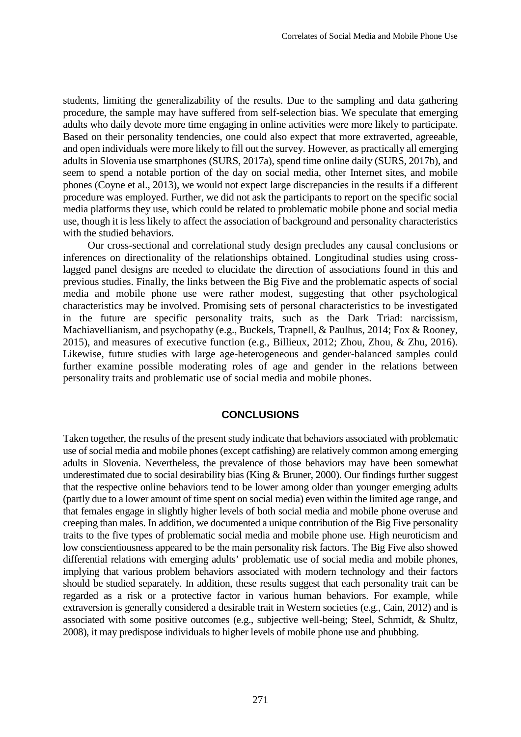students, limiting the generalizability of the results. Due to the sampling and data gathering procedure, the sample may have suffered from self-selection bias. We speculate that emerging adults who daily devote more time engaging in online activities were more likely to participate. Based on their personality tendencies, one could also expect that more extraverted, agreeable, and open individuals were more likely to fill out the survey. However, as practically all emerging adults in Slovenia use smartphones (SURS, 2017a), spend time online daily (SURS, 2017b), and seem to spend a notable portion of the day on social media, other Internet sites, and mobile phones (Coyne et al., 2013), we would not expect large discrepancies in the results if a different procedure was employed. Further, we did not ask the participants to report on the specific social media platforms they use, which could be related to problematic mobile phone and social media use, though it is less likely to affect the association of background and personality characteristics with the studied behaviors.

Our cross-sectional and correlational study design precludes any causal conclusions or inferences on directionality of the relationships obtained. Longitudinal studies using crosslagged panel designs are needed to elucidate the direction of associations found in this and previous studies. Finally, the links between the Big Five and the problematic aspects of social media and mobile phone use were rather modest, suggesting that other psychological characteristics may be involved. Promising sets of personal characteristics to be investigated in the future are specific personality traits, such as the Dark Triad: narcissism, Machiavellianism, and psychopathy (e.g., Buckels, Trapnell, & Paulhus, 2014; Fox & Rooney, 2015), and measures of executive function (e.g., Billieux, 2012; Zhou, Zhou, & Zhu, 2016). Likewise, future studies with large age-heterogeneous and gender-balanced samples could further examine possible moderating roles of age and gender in the relations between personality traits and problematic use of social media and mobile phones.

#### **CONCLUSIONS**

Taken together, the results of the present study indicate that behaviors associated with problematic use of social media and mobile phones (except catfishing) are relatively common among emerging adults in Slovenia. Nevertheless, the prevalence of those behaviors may have been somewhat underestimated due to social desirability bias (King & Bruner, 2000). Our findings further suggest that the respective online behaviors tend to be lower among older than younger emerging adults (partly due to a lower amount of time spent on social media) even within the limited age range, and that females engage in slightly higher levels of both social media and mobile phone overuse and creeping than males. In addition, we documented a unique contribution of the Big Five personality traits to the five types of problematic social media and mobile phone use. High neuroticism and low conscientiousness appeared to be the main personality risk factors. The Big Five also showed differential relations with emerging adults' problematic use of social media and mobile phones, implying that various problem behaviors associated with modern technology and their factors should be studied separately. In addition, these results suggest that each personality trait can be regarded as a risk or a protective factor in various human behaviors. For example, while extraversion is generally considered a desirable trait in Western societies (e.g., Cain, 2012) and is associated with some positive outcomes (e.g., subjective well-being; Steel, Schmidt, & Shultz, 2008), it may predispose individuals to higher levels of mobile phone use and phubbing.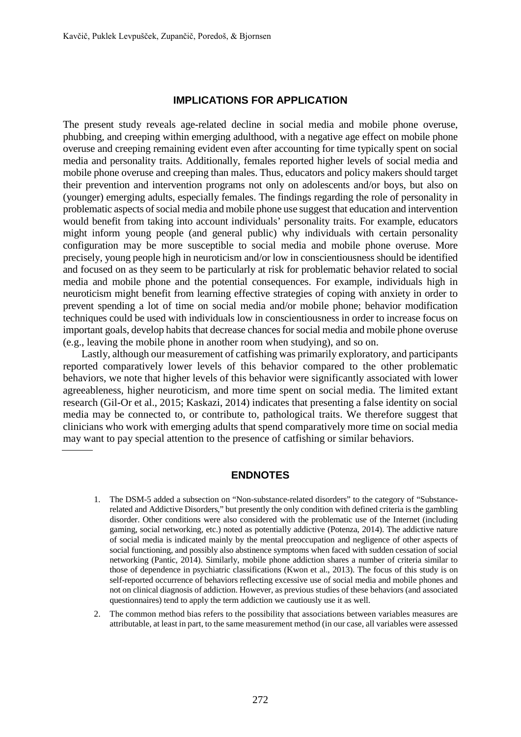#### **IMPLICATIONS FOR APPLICATION**

The present study reveals age-related decline in social media and mobile phone overuse, phubbing, and creeping within emerging adulthood, with a negative age effect on mobile phone overuse and creeping remaining evident even after accounting for time typically spent on social media and personality traits. Additionally, females reported higher levels of social media and mobile phone overuse and creeping than males. Thus, educators and policy makers should target their prevention and intervention programs not only on adolescents and/or boys, but also on (younger) emerging adults, especially females. The findings regarding the role of personality in problematic aspects of social media and mobile phone use suggest that education and intervention would benefit from taking into account individuals' personality traits. For example, educators might inform young people (and general public) why individuals with certain personality configuration may be more susceptible to social media and mobile phone overuse. More precisely, young people high in neuroticism and/or low in conscientiousness should be identified and focused on as they seem to be particularly at risk for problematic behavior related to social media and mobile phone and the potential consequences. For example, individuals high in neuroticism might benefit from learning effective strategies of coping with anxiety in order to prevent spending a lot of time on social media and/or mobile phone; behavior modification techniques could be used with individuals low in conscientiousness in order to increase focus on important goals, develop habits that decrease chances for social media and mobile phone overuse (e.g., leaving the mobile phone in another room when studying), and so on.

Lastly, although our measurement of catfishing was primarily exploratory, and participants reported comparatively lower levels of this behavior compared to the other problematic behaviors, we note that higher levels of this behavior were significantly associated with lower agreeableness, higher neuroticism, and more time spent on social media. The limited extant research (Gil-Or et al., 2015; Kaskazi, 2014) indicates that presenting a false identity on social media may be connected to, or contribute to, pathological traits. We therefore suggest that clinicians who work with emerging adults that spend comparatively more time on social media may want to pay special attention to the presence of catfishing or similar behaviors.

# **ENDNOTES**

- 1. The DSM-5 added a subsection on "Non-substance-related disorders" to the category of "Substancerelated and Addictive Disorders," but presently the only condition with defined criteria is the gambling disorder. Other conditions were also considered with the problematic use of the Internet (including gaming, social networking, etc.) noted as potentially addictive (Potenza, 2014). The addictive nature of social media is indicated mainly by the mental preoccupation and negligence of other aspects of social functioning, and possibly also abstinence symptoms when faced with sudden cessation of social networking (Pantic, 2014). Similarly, mobile phone addiction shares a number of criteria similar to those of dependence in psychiatric classifications (Kwon et al., 2013). The focus of this study is on self-reported occurrence of behaviors reflecting excessive use of social media and mobile phones and not on clinical diagnosis of addiction. However, as previous studies of these behaviors (and associated questionnaires) tend to apply the term addiction we cautiously use it as well.
- 2. The common method bias refers to the possibility that associations between variables measures are attributable, at least in part, to the same measurement method (in our case, all variables were assessed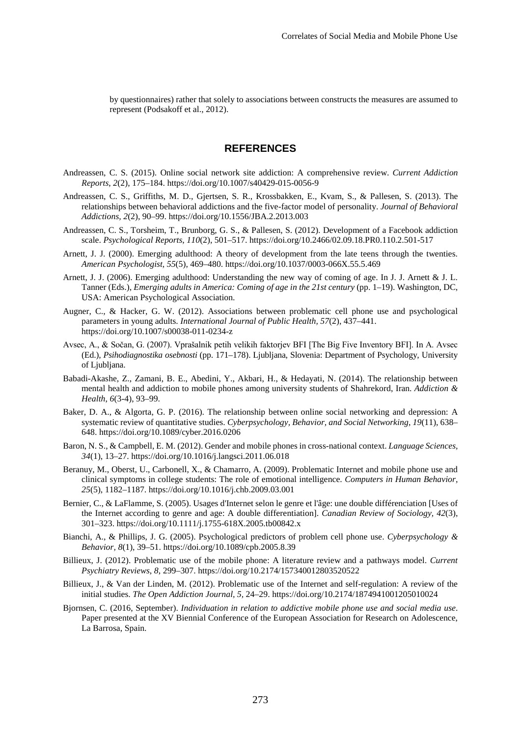by questionnaires) rather that solely to associations between constructs the measures are assumed to represent (Podsakoff et al., 2012).

#### **REFERENCES**

- Andreassen, C. S. (2015). Online social network site addiction: A comprehensive review. *Current Addiction Reports*, *2*(2), 175–184. https://doi.org/10.1007/s40429-015-0056-9
- Andreassen, C. S., Griffiths, M. D., Gjertsen, S. R., Krossbakken, E., Kvam, S., & Pallesen, S. (2013). The relationships between behavioral addictions and the five-factor model of personality. *Journal of Behavioral Addictions, 2*(2), 90–99. https://doi.org/10.1556/JBA.2.2013.003
- Andreassen, C. S., Torsheim, T., Brunborg, G. S., & Pallesen, S. (2012). Development of a Facebook addiction scale. *Psychological Reports*, *110*(2), 501–517. [https://doi.org/10.2466/02.09.18.PR0.110.2.501-517](https://doi.org/10.2466%2F02.09.18.PR0.110.2.501-517)
- Arnett, J. J. (2000). Emerging adulthood: A theory of development from the late teens through the twenties. *American Psychologist, 55*(5), 469–480. https://doi.org/10.1037/0003-066X.55.5.469
- Arnett, J. J. (2006). Emerging adulthood: Understanding the new way of coming of age. In J. J. Arnett & J. L. Tanner (Eds.), *Emerging adults in America: Coming of age in the 21st century* (pp. 1–19). Washington, DC, USA: American Psychological Association.
- Augner, C., & Hacker, G. W. (2012). Associations between problematic cell phone use and psychological parameters in young adults. *International Journal of Public Health, 57*(2), 437–441. <https://doi.org/10.1007/s00038-011-0234-z>
- Avsec, A., & Sočan, G. (2007). Vprašalnik petih velikih faktorjev BFI [The Big Five Inventory BFI]. In A. Avsec (Ed.), *Psihodiagnostika osebnosti* (pp. 171–178). Ljubljana, Slovenia: Department of Psychology, University of Ljubljana.
- Babadi-Akashe, Z., Zamani, B. E., Abedini, Y., Akbari, H., & Hedayati, N. (2014). The relationship between mental health and addiction to mobile phones among university students of Shahrekord, Iran. *Addiction & Health*, *6*(3-4), 93–99.
- Baker, D. A., & Algorta, G. P. (2016). The relationship between online social networking and depression: A systematic review of quantitative studies. *Cyberpsychology, Behavior, and Social Networking*, *19*(11), 638– 648. https://doi.org/10.1089/cyber.2016.0206
- Baron, N. S., & Campbell, E. M. (2012). Gender and mobile phones in cross-national context. *Language Sciences, 34*(1), 13–27. https://doi.org/10.1016/j.langsci.2011.06.018
- Beranuy, M., Oberst, U., Carbonell, X., & Chamarro, A. (2009). Problematic Internet and mobile phone use and clinical symptoms in college students: The role of emotional intelligence. *Computers in Human Behavior, 25*(5), 1182–1187.<https://doi.org/10.1016/j.chb.2009.03.001>
- Bernier, C., & LaFlamme, S. (2005). Usages d'Internet selon le genre et l'âge: une double différenciation [Uses of the Internet according to genre and age: A double differentiation]. *Canadian Review of Sociology, 42*(3), 301–323. https://doi.org/10.1111/j.1755-618X.2005.tb00842.x
- Bianchi, A., & Phillips, J. G. (2005). Psychological predictors of problem cell phone use. *Cyberpsychology & Behavior, 8*(1), 39–51. https://doi.org/10.1089/cpb.2005.8.39
- Billieux, J. (2012). Problematic use of the mobile phone: A literature review and a pathways model. *Current Psychiatry Reviews*, *8*, 299–307. https://doi.org/10.2174/157340012803520522
- Billieux, J., & Van der Linden, M. (2012). Problematic use of the Internet and self-regulation: A review of the initial studies. *The Open Addiction Journal, 5,* 24–29. https://doi.org/10.2174/1874941001205010024
- Bjornsen, C. (2016, September). *Individuation in relation to addictive mobile phone use and social media use*. Paper presented at the XV Biennial Conference of the European Association for Research on Adolescence, La Barrosa, Spain.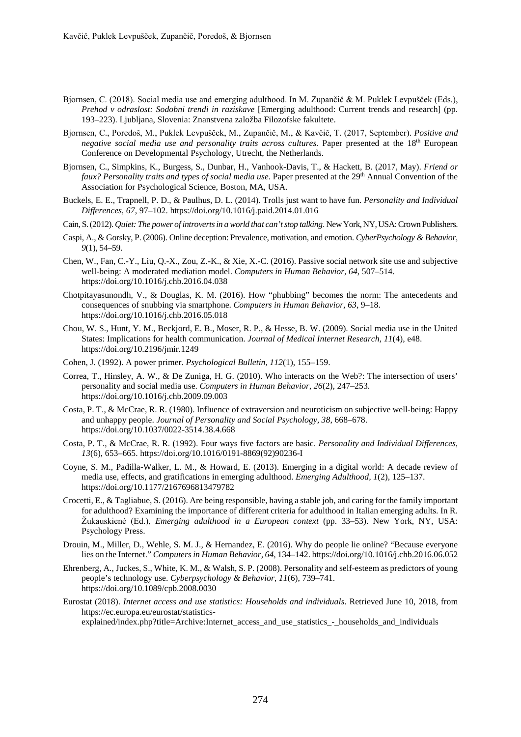- Bjornsen, C. (2018). Social media use and emerging adulthood. In M. Zupančič & M. Puklek Levpušček (Eds.), *Prehod v odraslost: Sodobni trendi in raziskave* [Emerging adulthood: Current trends and research] (pp. 193–223). Ljubljana, Slovenia: Znanstvena založba Filozofske fakultete.
- Bjornsen, C., Poredoš, M., Puklek Levpušček, M., Zupančič, M., & Kavčič, T. (2017, September). *Positive and negative social media use and personality traits across cultures.* Paper presented at the 18<sup>th</sup> European Conference on Developmental Psychology, Utrecht, the Netherlands.
- Bjornsen, C., Simpkins, K., Burgess, S., Dunbar, H., Vanhook-Davis, T., & Hackett, B. (2017, May). *Friend or faux? Personality traits and types of social media use*. Paper presented at the 29<sup>th</sup> Annual Convention of the Association for Psychological Science, Boston, MA, USA.
- Buckels, E. E., Trapnell, P. D., & Paulhus, D. L. (2014). Trolls just want to have fun. *Personality and Individual Differences*, *67*, 97–102. https://doi.org/10.1016/j.paid.2014.01.016
- Cain, S. (2012). *[Quiet: The power of introverts in a world that can't stop talking](https://www.goodreads.com/book/show/8520610-quiet)*. New York, NY, USA:Crown Publishers.
- Caspi, A., & Gorsky, P. (2006). Online deception: Prevalence, motivation, and emotion. *CyberPsychology & Behavior, 9*(1), 54–59.
- Chen, W., Fan, C.-Y., Liu, Q.-X., Zou, Z.-K., & Xie, X.-C. (2016). Passive social network site use and subjective well-being: A moderated mediation model. *Computers in Human Behavior, 64,* 507–514. https://doi.org/10.1016/j.chb.2016.04.038
- Chotpitayasunondh, V., & Douglas, K. M. (2016). How "phubbing" becomes the norm: The antecedents and consequences of snubbing via smartphone. *Computers in Human Behavior, 63*, 9–18. https://doi.org/10.1016/j.chb.2016.05.018
- Chou, W. S., Hunt, Y. M., Beckjord, E. B., Moser, R. P., & Hesse, B. W. (2009). Social media use in the United States: Implications for health communication. *Journal of Medical Internet Research, 11*(4), e48. https://doi.org/10.2196/jmir.1249
- Cohen, J. (1992). A power primer. *Psychological Bulletin, 112*(1), 155–159.
- Correa, T., Hinsley, A. W., & De Zuniga, H. G. (2010). Who interacts on the Web?: The intersection of users' personality and social media use. *Computers in Human Behavior*, *26*(2), 247–253. https://doi.org/10.1016/j.chb.2009.09.003
- Costa, P. T., & McCrae, R. R. (1980). Influence of extraversion and neuroticism on subjective well-being: Happy and unhappy people. *Journal of Personality and Social Psychology, 38*, 668–678. https://doi.org/10.1037/0022-3514.38.4.668
- Costa, P. T., & McCrae, R. R. (1992). Four ways five factors are basic. *Personality and Individual Differences, 13*(6), 653–665. https://doi.org/10.1016/0191-8869(92)90236-I
- Coyne, S. M., Padilla-Walker, L. M., & Howard, E. (2013). Emerging in a digital world: A decade review of media use, effects, and gratifications in emerging adulthood. *Emerging Adulthood, 1*(2), 125–137. https://doi.org/10.1177/2167696813479782
- Crocetti, E., & Tagliabue, S. (2016). Are being responsible, having a stable job, and caring for the family important for adulthood? Examining the importance of different criteria for adulthood in Italian emerging adults. In R. Žukauskienė (Ed.), *Emerging adulthood in a European context* (pp. 33–53). New York, NY, USA: Psychology Press.
- Drouin, M., Miller, D., Wehle, S. M. J., & Hernandez, E. (2016). Why do people lie online? "Because everyone lies on the Internet." *Computers in Human Behavior, 64,* 134–142. https://doi.org/10.1016/j.chb.2016.06.052
- Ehrenberg, A., Juckes, S., White, K. M., & Walsh, S. P. (2008). Personality and self-esteem as predictors of young people's technology use. *Cyberpsychology & Behavior*, *11*(6), 739–741. <https://doi.org/10.1089/cpb.2008.0030>
- Eurostat (2018). *Internet access and use statistics: Households and individuals*. Retrieved June 10, 2018, from https://ec.europa.eu/eurostat/statistics-

explained/index.php?title=Archive:Internet\_access\_and\_use\_statistics\_-\_households\_and\_individuals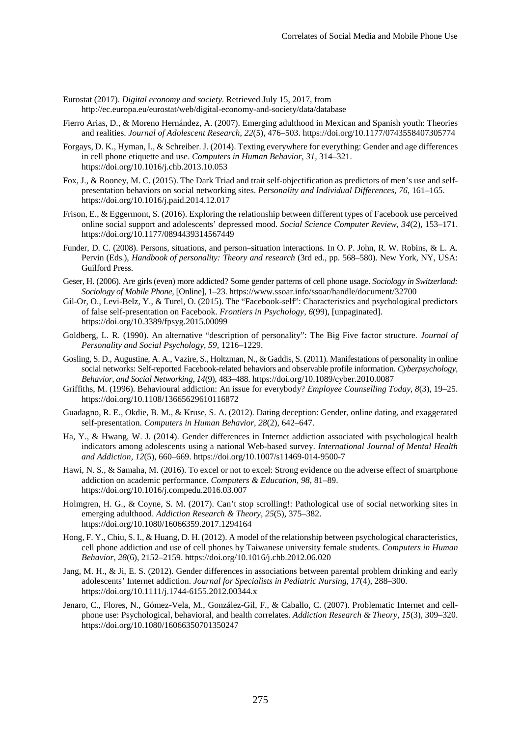Eurostat (2017). *[Digital economy and society](http://ec.europa.eu/eurostat/web/digital-economy-and-society)*. Retrieved July 15, 2017, from http://ec.europa.eu/eurostat/web/digital-economy-and-society/data/database

- Fierro Arias, D., & Moreno Hernández, A. (2007). Emerging adulthood in Mexican and Spanish youth: Theories and realities. *Journal of Adolescent Research, 22*(5), 476–503. https://doi.org/10.1177/0743558407305774
- Forgays, D. K., Hyman, I., & Schreiber. J. (2014). Texting everywhere for everything: Gender and age differences in cell phone etiquette and use. *Computers in Human Behavior, 31,* 314–321. https://doi.org/10.1016/j.chb.2013.10.053
- Fox, J., & Rooney, M. C. (2015). The Dark Triad and trait self-objectification as predictors of men's use and selfpresentation behaviors on social networking sites. *Personality and Individual Differences*, *76*, 161–165. https://doi.org/10.1016/j.paid.2014.12.017
- Frison, E., & Eggermont, S. (2016). Exploring the relationship between different types of Facebook use perceived online social support and adolescents' depressed mood. *Social Science Computer Review, 34*(2), 153–171. https://doi.org/10.1177/0894439314567449
- Funder, D. C. (2008). Persons, situations, and person–situation interactions. In O. P. John, R. W. Robins, & L. A. Pervin (Eds.), *Handbook of personality: Theory and research* (3rd ed., pp. 568–580). New York, NY, USA: Guilford Press.
- Geser, H. (2006). Are girls (even) more addicted? Some gender patterns of cell phone usage. *Sociology in Switzerland: Sociology of Mobile Phone,* [Online], 1–23. https://www.ssoar.info/ssoar/handle/document/32700
- Gil-Or, O., Levi-Belz, Y., & Turel, O. (2015). The "Facebook-self": Characteristics and psychological predictors of false self-presentation on Facebook. *Frontiers in Psychology*, *6*(99), [unpaginated]. https://doi.org/10.3389/fpsyg.2015.00099
- Goldberg, L. R. (1990). An alternative "description of personality": The Big Five factor structure. *Journal of Personality and Social Psychology, 59*, 1216–1229.
- Gosling, S. D., Augustine, A. A., Vazire, S., Holtzman, N., & Gaddis, S. (2011). Manifestations of personality in online social networks: Self-reported Facebook-related behaviors and observable profile information. *Cyberpsychology, Behavior, and Social Networking, 14*(9), 483–488. https://doi.org/10.1089/cyber.2010.0087
- Griffiths, M. (1996). Behavioural addiction: An issue for everybody? *Employee Counselling Today, 8*(3), 19–25. https://doi.org/10.1108/13665629610116872
- Guadagno, R. E., Okdie, B. M., & Kruse, S. A. (2012). Dating deception: Gender, online dating, and exaggerated self-presentation. *Computers in Human Behavior, 28*(2), 642–647.
- Ha, Y., & Hwang, W. J. (2014). Gender differences in Internet addiction associated with psychological health indicators among adolescents using a national Web-based survey. *International Journal of Mental Health and Addiction, 12*(5), 660–669.<https://doi.org/10.1007/s11469-014-9500-7>
- Hawi, N. S., & Samaha, M. (2016). To excel or not to excel: Strong evidence on the adverse effect of smartphone addiction on academic performance. *Computers & Education, 98*, 81–89. https://doi.org/10.1016/j.compedu.2016.03.007
- Holmgren, H. G., & Coyne, S. M. (2017). Can't stop scrolling!: Pathological use of social networking sites in emerging adulthood. *Addiction Research & Theory*, *25*(5), 375–382. <https://doi.org/10.1080/16066359.2017.1294164>
- Hong, F. Y., Chiu, S. I., & Huang, D. H. (2012). A model of the relationship between psychological characteristics, cell phone addiction and use of cell phones by Taiwanese university female students. *Computers in Human Behavior*, *28*(6), 2152–2159. https://doi.org/10.1016/j.chb.2012.06.020
- Jang, M. H., & Ji, E. S. (2012). Gender differences in associations between parental problem drinking and early adolescents' Internet addiction. *Journal for Specialists in Pediatric Nursing, 17*(4), 288–300. https://doi.org/10.1111/j.1744-6155.2012.00344.x
- Jenaro, C., Flores, N., Gómez-Vela, M., González-Gil, F., & Caballo, C. (2007). Problematic Internet and cellphone use: Psychological, behavioral, and health correlates. *Addiction Research & Theory*, *15*(3), 309–320. https://doi.org/10.1080/16066350701350247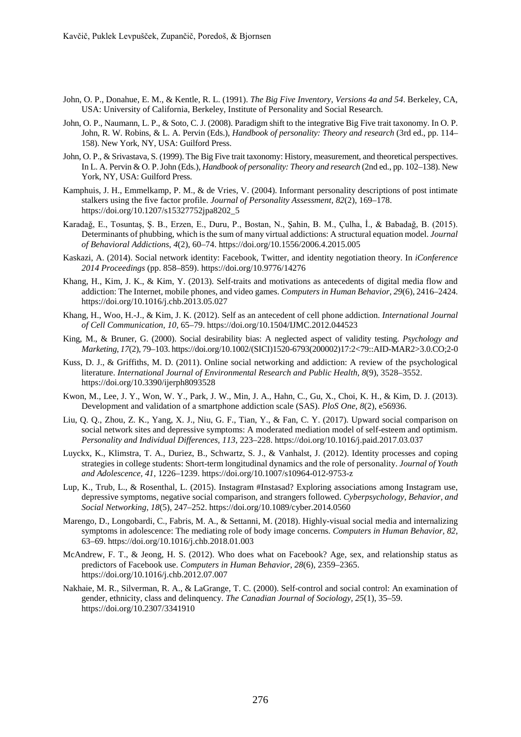- John, O. P., Donahue, E. M., & Kentle, R. L. (1991). *The Big Five Inventory, Versions 4a and 54*. Berkeley, CA, USA: University of California, Berkeley, Institute of Personality and Social Research.
- John, O. P., Naumann, L. P., & Soto, C. J. (2008). Paradigm shift to the integrative Big Five trait taxonomy. In O. P. John, R. W. Robins, & L. A. Pervin (Eds.), *Handbook of personality: Theory and research* (3rd ed., pp. 114– 158). New York, NY, USA: Guilford Press.
- John, O. P., & Srivastava, S. (1999). The Big Five trait taxonomy: History, measurement, and theoretical perspectives. In L. A. Pervin & O. P. John (Eds.), *Handbook of personality: Theory and research* (2nd ed., pp. 102–138). New York, NY, USA: Guilford Press.
- Kamphuis, J. H., Emmelkamp, P. M., & de Vries, V. (2004). Informant personality descriptions of post intimate stalkers using the five factor profile. *Journal of Personality Assessment, 82*(2), 169–178. https://doi.org/10.1207/s15327752jpa8202\_5
- Karadağ, E., Tosuntaş, Ş. B., Erzen, E., Duru, P., Bostan, N., Şahı̇n, B. M., Çulha, İ., & Babadağ, B. (2015). Determinants of phubbing, which is the sum of many virtual addictions: A structural equation model. *Journal of Behavioral Addictions*, *4*(2), 60–74. https://doi.org/10.1556/2006.4.2015.005
- Kaskazi, A. (2014). Social network identity: Facebook, Twitter, and identity negotiation theory. In *iConference 2014 Proceedings* (pp. 858–859). https://doi.org/10.9776/14276
- Khang, H., Kim, J. K., & Kim, Y. (2013). Self-traits and motivations as antecedents of digital media flow and addiction: The Internet, mobile phones, and video games. *Computers in Human Behavior, 29*(6), 2416–2424. https://doi.org/10.1016/j.chb.2013.05.027
- Khang, H., Woo, H.-J., & Kim, J. K. (2012). Self as an antecedent of cell phone addiction. *International Journal of Cell Communication, 10,* 65–79. https://doi.org/10.1504/IJMC.2012.044523
- King, M., & Bruner, G. (2000). Social desirability bias: A neglected aspect of validity testing. *Psychology and Marketing, 17*(2), 79–103. https://doi.org/10.1002/(SICI)1520-6793(200002)17:2<79::AID-MAR2>3.0.CO;2-0
- Kuss, D. J., & Griffiths, M. D. (2011). Online social networking and addiction: A review of the psychological literature. *International Journal of Environmental Research and Public Health, 8*(9), 3528–3552. <https://doi.org/10.3390/ijerph8093528>
- Kwon, M., Lee, J. Y., Won, W. Y., Park, J. W., Min, J. A., Hahn, C., Gu, X., Choi, K. H., & Kim, D. J. (2013). Development and validation of a smartphone addiction scale (SAS). *PloS One*, *8*(2), e56936.
- Liu, Q. Q., Zhou, Z. K., Yang, X. J., Niu, G. F., Tian, Y., & Fan, C. Y. (2017). Upward social comparison on social network sites and depressive symptoms: A moderated mediation model of self-esteem and optimism. *Personality and Individual Differences, 113*, 223–228. https://doi.org/10.1016/j.paid.2017.03.037
- Luyckx, K., Klimstra, T. A., Duriez, B., Schwartz, S. J., & Vanhalst, J. (2012). Identity processes and coping strategies in college students: Short-term longitudinal dynamics and the role of personality. *Journal of Youth and Adolescence, 41*, 1226–1239. https://doi.org/10.1007/s10964-012-9753-z
- Lup, K., Trub, L., & Rosenthal, L. (2015). Instagram #Instasad? Exploring associations among Instagram use, depressive symptoms, negative social comparison, and strangers followed. *Cyberpsychology, Behavior, and Social Networking*, *18*(5), 247–252. https://doi.org/10.1089/cyber.2014.0560
- Marengo, D., Longobardi, C., Fabris, M. A., & Settanni, M. (2018). Highly-visual social media and internalizing symptoms in adolescence: The mediating role of body image concerns. *Computers in Human Behavior, 82,*  63–69. https://doi.org/10.1016/j.chb.2018.01.003
- McAndrew, F. T., & Jeong, H. S. (2012). Who does what on Facebook? Age, sex, and relationship status as predictors of Facebook use. *Computers in Human Behavior*, *28*(6), 2359–2365. https://doi.org/10.1016/j.chb.2012.07.007
- Nakhaie, M. R., Silverman, R. A., & LaGrange, T. C. (2000). Self-control and social control: An examination of gender, ethnicity, class and delinquency. *The Canadian Journal of Sociology, 25*(1), 35–59. https://doi.org/10.2307/3341910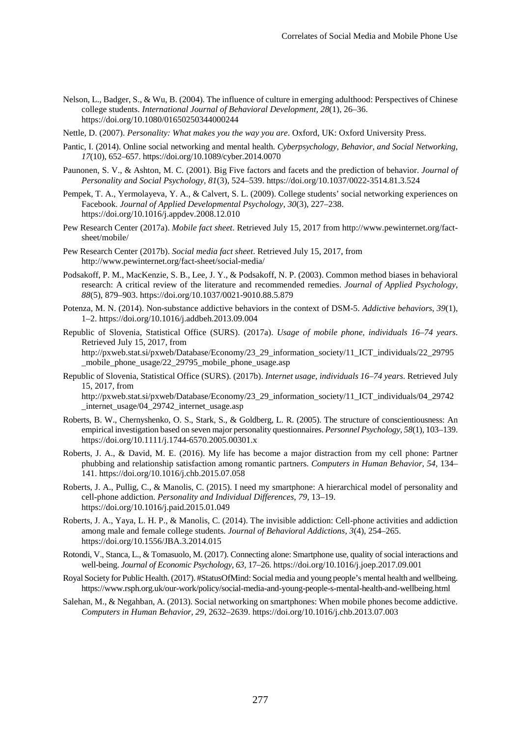- Nelson, L., Badger, S., & Wu, B. (2004). The influence of culture in emerging adulthood: Perspectives of Chinese college students. *International Journal of Behavioral Development, 28*(1), 26–36. https://doi.org/10.1080/01650250344000244
- Nettle, D. (2007). *Personality: What makes you the way you are*. Oxford, UK: Oxford University Press.
- Pantic, I. (2014). Online social networking and mental health. *Cyberpsychology, Behavior, and Social Networking*, *17*(10), 652–657. https://doi.org/10.1089/cyber.2014.0070
- Paunonen, S. V., & Ashton, M. C. (2001). Big Five factors and facets and the prediction of behavior. *Journal of Personality and Social Psychology, 81*(3), 524–539. https://doi.org/10.1037/0022-3514.81.3.524
- Pempek, T. A., Yermolayeva, Y. A., & Calvert, S. L. (2009). College students' social networking experiences on Facebook. *Journal of Applied Developmental Psychology*, *30*(3), 227–238. https://doi.org/10.1016/j.appdev.2008.12.010
- Pew Research Center (2017a). *Mobile fact sheet*. Retrieved July 15, 2017 from http://www.pewinternet.org/factsheet/mobile/
- Pew Research Center (2017b). *Social media fact sheet*. Retrieved July 15, 2017, from http://www.pewinternet.org/fact-sheet/social-media/
- Podsakoff, P. M., MacKenzie, S. B., Lee, J. Y., & Podsakoff, N. P. (2003). Common method biases in behavioral research: A critical review of the literature and recommended remedies. *Journal of Applied Psychology, 88*(5), 879–903. https://doi.org/10.1037/0021-9010.88.5.879
- Potenza, M. N. (2014). Non-substance addictive behaviors in the context of DSM-5. *Addictive behaviors*, *39*(1), 1–2. https://doi.org/10.1016/j.addbeh.2013.09.004
- Republic of Slovenia, Statistical Office (SURS). (2017a). *Usage of mobile phone, individuals 16–74 years*. Retrieved July 15, 2017, from http://pxweb.stat.si/pxweb/Database/Economy/23\_29\_information\_society/11\_ICT\_individuals/22\_29795 \_mobile\_phone\_usage/22\_29795\_mobile\_phone\_usage.asp
- Republic of Slovenia, Statistical Office (SURS). (2017b). *Internet usage, individuals 16–74 years*. Retrieved July 15, 2017, from

http://pxweb.stat.si/pxweb/Database/Economy/23\_29\_information\_society/11\_ICT\_individuals/04\_29742 \_internet\_usage/04\_29742\_internet\_usage.asp

- Roberts, B. W., Chernyshenko, O. S., Stark, S., & Goldberg, L. R. (2005). The structure of conscientiousness: An empirical investigation based on seven major personality questionnaires. *Personnel Psychology, 58*(1), 103–139. https://doi.org/10.1111/j.1744-6570.2005.00301.x
- Roberts, J. A., & David, M. E. (2016). My life has become a major distraction from my cell phone: Partner phubbing and relationship satisfaction among romantic partners. *Computers in Human Behavior, 54,* 134– 141. https://doi.org/10.1016/j.chb.2015.07.058
- Roberts, J. A., Pullig, C., & Manolis, C. (2015). I need my smartphone: A hierarchical model of personality and cell-phone addiction. *Personality and Individual Differences*, *79*, 13–19. https://doi.org/10.1016/j.paid.2015.01.049
- Roberts, J. A., Yaya, L. H. P., & Manolis, C. (2014). The invisible addiction: Cell-phone activities and addiction among male and female college students. *Journal of Behavioral Addictions, 3*(4), 254–265. https://doi.org/10.1556/JBA.3.2014.015
- Rotondi, V., Stanca, L., & Tomasuolo, M. (2017). Connecting alone: Smartphone use, quality of social interactions and well-being. *Journal of Economic Psychology, 63,* 17–26. https://doi.org/10.1016/j.joep.2017.09.001
- Royal Society for Public Health. (2017). #StatusOfMind: Social media and young people's mental health and wellbeing. <https://www.rsph.org.uk/our-work/policy/social-media-and-young-people-s-mental-health-and-wellbeing.html>
- Salehan, M., & Negahban, A. (2013). Social networking on smartphones: When mobile phones become addictive. *Computers in Human Behavior, 29*, 2632–2639. https://doi.org/10.1016/j.chb.2013.07.003